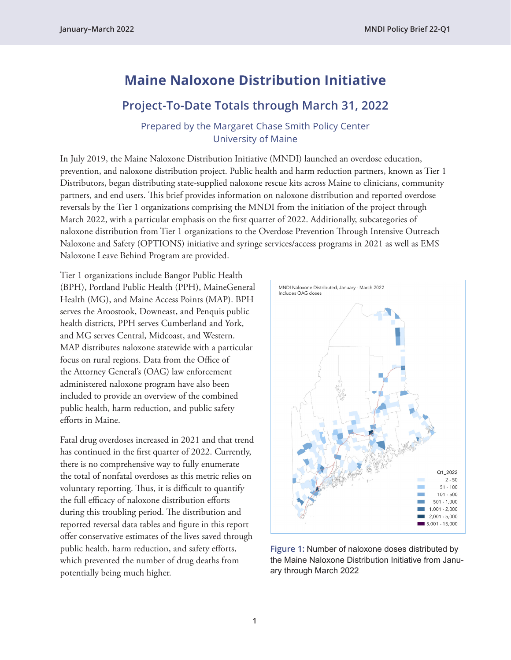# **Maine Naloxone Distribution Initiative**

## **Project-To-Date Totals through March 31, 2022**

Prepared by the Margaret Chase Smith Policy Center University of Maine

In July 2019, the Maine Naloxone Distribution Initiative (MNDI) launched an overdose education, prevention, and naloxone distribution project. Public health and harm reduction partners, known as Tier 1 Distributors, began distributing state-supplied naloxone rescue kits across Maine to clinicians, community partners, and end users. This brief provides information on naloxone distribution and reported overdose reversals by the Tier 1 organizations comprising the MNDI from the initiation of the project through March 2022, with a particular emphasis on the first quarter of 2022. Additionally, subcategories of naloxone distribution from Tier 1 organizations to the Overdose Prevention Through Intensive Outreach Naloxone and Safety (OPTIONS) initiative and syringe services/access programs in 2021 as well as EMS Naloxone Leave Behind Program are provided.

Tier 1 organizations include Bangor Public Health (BPH), Portland Public Health (PPH), MaineGeneral Health (MG), and Maine Access Points (MAP). BPH serves the Aroostook, Downeast, and Penquis public health districts, PPH serves Cumberland and York, and MG serves Central, Midcoast, and Western. MAP distributes naloxone statewide with a particular focus on rural regions. Data from the Office of the Attorney General's (OAG) law enforcement administered naloxone program have also been included to provide an overview of the combined public health, harm reduction, and public safety efforts in Maine.

Fatal drug overdoses increased in 2021 and that trend has continued in the first quarter of 2022. Currently, there is no comprehensive way to fully enumerate the total of nonfatal overdoses as this metric relies on voluntary reporting. Thus, it is difficult to quantify the full efficacy of naloxone distribution efforts during this troubling period. The distribution and reported reversal data tables and figure in this report offer conservative estimates of the lives saved through public health, harm reduction, and safety efforts, which prevented the number of drug deaths from potentially being much higher.



**Figure 1:** Number of naloxone doses distributed by the Maine Naloxone Distribution Initiative from January through March 2022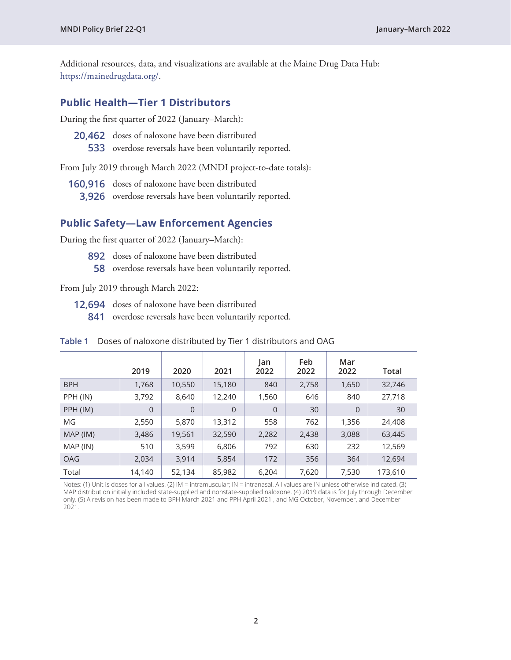Additional resources, data, and visualizations are available at the Maine Drug Data Hub: <https://mainedrugdata.org/>.

### **Public Health—Tier 1 Distributors**

During the first quarter of 2022 (January–March):

**20,462** doses of naloxone have been distributed **533** overdose reversals have been voluntarily reported.

From July 2019 through March 2022 (MNDI project-to-date totals):

- **160,916** doses of naloxone have been distributed
	- **3,926** overdose reversals have been voluntarily reported.

#### **Public Safety—Law Enforcement Agencies**

During the first quarter of 2022 (January–March):

- **892** doses of naloxone have been distributed
	- **58** overdose reversals have been voluntarily reported.

From July 2019 through March 2022:

- **12,694** doses of naloxone have been distributed
	- **841** overdose reversals have been voluntarily reported.

|            | 2019           | 2020           | 2021           | lan<br>2022 | Feb<br>2022 | Mar<br>2022    | Total   |
|------------|----------------|----------------|----------------|-------------|-------------|----------------|---------|
| <b>BPH</b> | 1,768          | 10,550         | 15,180         | 840         | 2,758       | 1,650          | 32,746  |
| PPH (IN)   | 3,792          | 8,640          | 12,240         | 1,560       | 646         | 840            | 27,718  |
| PPH (IM)   | $\overline{0}$ | $\overline{0}$ | $\overline{0}$ | $\Omega$    | 30          | $\overline{0}$ | 30      |
| МG         | 2,550          | 5,870          | 13,312         | 558         | 762         | 1,356          | 24,408  |
| MAP (IM)   | 3,486          | 19,561         | 32,590         | 2,282       | 2,438       | 3,088          | 63,445  |
| MAP (IN)   | 510            | 3,599          | 6,806          | 792         | 630         | 232            | 12,569  |
| <b>OAG</b> | 2,034          | 3,914          | 5,854          | 172         | 356         | 364            | 12,694  |
| Total      | 14,140         | 52,134         | 85,982         | 6,204       | 7,620       | 7,530          | 173,610 |

#### **Table 1** Doses of naloxone distributed by Tier 1 distributors and OAG

Notes: (1) Unit is doses for all values. (2) IM = intramuscular; IN = intranasal. All values are IN unless otherwise indicated. (3) MAP distribution initially included state-supplied and nonstate-supplied naloxone. (4) 2019 data is for July through December only. (5) A revision has been made to BPH March 2021 and PPH April 2021 , and MG October, November, and December 2021.